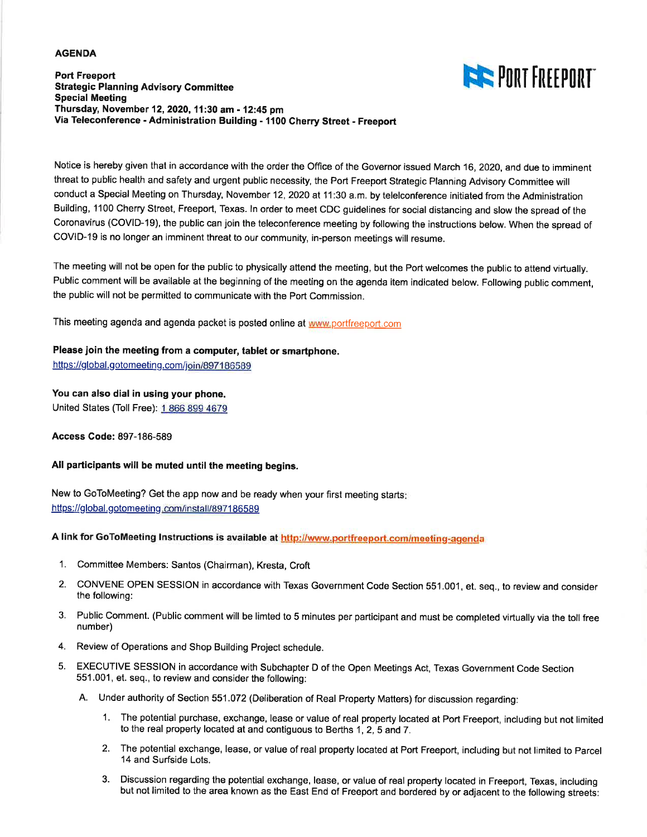#### **AGENDA**

# **THE PORT FREEPORT**

**Port Freeport Strategic Planning Advisory Committee Special Meeting** Thursday, November 12, 2020, 11:30 am - 12:45 pm Via Teleconference - Administration Building - 1100 Cherry Street - Freeport

Notice is hereby given that in accordance with the order the Office of the Governor issued March 16, 2020, and due to imminent threat to public health and safety and urgent public necessity, the Port Freeport Strategic Planning Advisory Committee will conduct a Special Meeting on Thursday, November 12, 2020 at 11:30 a.m. by telelconference initiated from the Administration Building, 1100 Cherry Street, Freeport, Texas. In order to meet CDC guidelines for social distancing and slow the spread of the Coronavirus (COVID-19), the public can join the teleconference meeting by following the instructions below. When the spread of COVID-19 is no longer an imminent threat to our community, in-person meetings will resume.

The meeting will not be open for the public to physically attend the meeting, but the Port welcomes the public to attend virtually. Public comment will be available at the beginning of the meeting on the agenda item indicated below. Following public comment, the public will not be permitted to communicate with the Port Commission.

This meeting agenda and agenda packet is posted online at www.portfreeport.com

#### Please join the meeting from a computer, tablet or smartphone.

https://global.gotomeeting.com/join/897186589

#### You can also dial in using your phone.

United States (Toll Free): 1 866 899 4679

**Access Code: 897-186-589** 

#### All participants will be muted until the meeting begins.

New to GoToMeeting? Get the app now and be ready when your first meeting starts: https://global.gotomeeting.com/install/897186589

A link for GoToMeeting Instructions is available at http://www.portfreeport.com/meeting-agenda

- 1. Committee Members: Santos (Chairman), Kresta, Croft
- 2. CONVENE OPEN SESSION in accordance with Texas Government Code Section 551.001, et. seq., to review and consider the following:
- 3. Public Comment. (Public comment will be limted to 5 minutes per participant and must be completed virtually via the toll free number)
- 4. Review of Operations and Shop Building Project schedule.
- EXECUTIVE SESSION in accordance with Subchapter D of the Open Meetings Act, Texas Government Code Section 5. 551.001, et. seq., to review and consider the following:
	- A. Under authority of Section 551.072 (Deliberation of Real Property Matters) for discussion regarding:
		- 1. The potential purchase, exchange, lease or value of real property located at Port Freeport, including but not limited to the real property located at and contiguous to Berths 1, 2, 5 and 7.
		- 2. The potential exchange, lease, or value of real property located at Port Freeport, including but not limited to Parcel 14 and Surfside Lots.
		- 3. Discussion regarding the potential exchange, lease, or value of real property located in Freeport, Texas, including but not limited to the area known as the East End of Freeport and bordered by or adjacent to the following streets: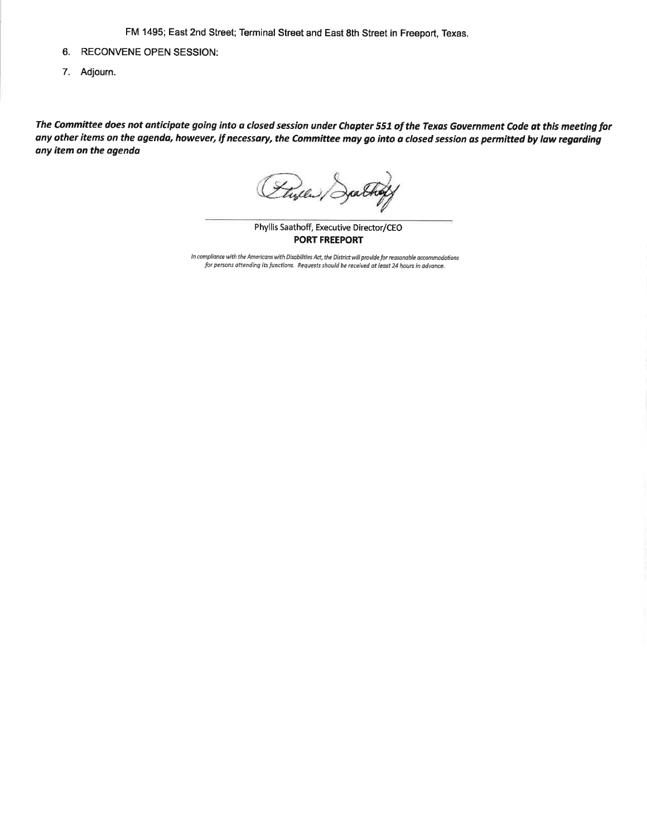FM 1495; East 2nd Street; Terminal Street and East 8th Street in Freeport, Texas.

- 6. RECONVENE OPEN SESSION:
- 7. Adjourn.

The Committee does not anticipate going into a closed session under Chapter 551 of the Texas Government Code at this meeting for any other items on the agenda, however, if necessary, the Committee may go into a closed session as permitted by law regarding any item on the agenda

Flyer Dal

Phyllis Saathoff, Executive Director/CEO **PORT FREEPORT** 

In compliance with the Americans with Disabilities Act, the District will provide for reasonable accommodations for persons attending its functions. Requests should be received at least 24 hours in advance.